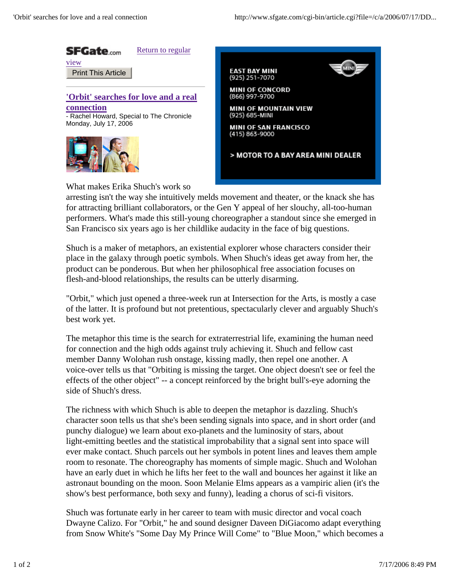

What makes Erika Shuch's work so

arresting isn't the way she intuitively melds movement and theater, or the knack she has for attracting brilliant collaborators, or the Gen Y appeal of her slouchy, all-too-human performers. What's made this still-young choreographer a standout since she emerged in San Francisco six years ago is her childlike audacity in the face of big questions.

Shuch is a maker of metaphors, an existential explorer whose characters consider their place in the galaxy through poetic symbols. When Shuch's ideas get away from her, the product can be ponderous. But when her philosophical free association focuses on flesh-and-blood relationships, the results can be utterly disarming.

"Orbit," which just opened a three-week run at Intersection for the Arts, is mostly a case of the latter. It is profound but not pretentious, spectacularly clever and arguably Shuch's best work yet.

The metaphor this time is the search for extraterrestrial life, examining the human need for connection and the high odds against truly achieving it. Shuch and fellow cast member Danny Wolohan rush onstage, kissing madly, then repel one another. A voice-over tells us that "Orbiting is missing the target. One object doesn't see or feel the effects of the other object" -- a concept reinforced by the bright bull's-eye adorning the side of Shuch's dress.

The richness with which Shuch is able to deepen the metaphor is dazzling. Shuch's character soon tells us that she's been sending signals into space, and in short order (and punchy dialogue) we learn about exo-planets and the luminosity of stars, about light-emitting beetles and the statistical improbability that a signal sent into space will ever make contact. Shuch parcels out her symbols in potent lines and leaves them ample room to resonate. The choreography has moments of simple magic. Shuch and Wolohan have an early duet in which he lifts her feet to the wall and bounces her against it like an astronaut bounding on the moon. Soon Melanie Elms appears as a vampiric alien (it's the show's best performance, both sexy and funny), leading a chorus of sci-fi visitors.

Shuch was fortunate early in her career to team with music director and vocal coach Dwayne Calizo. For "Orbit," he and sound designer Daveen DiGiacomo adapt everything from Snow White's "Some Day My Prince Will Come" to "Blue Moon," which becomes a